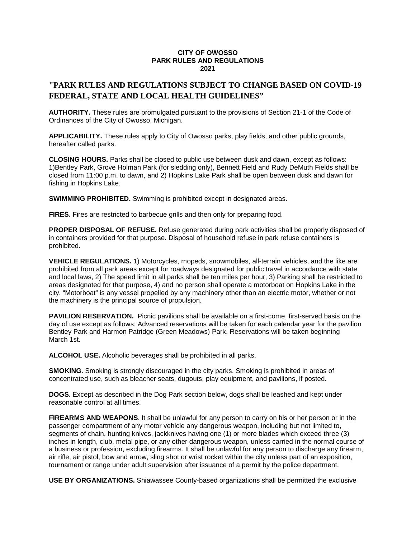## **CITY OF OWOSSO PARK RULES AND REGULATIONS 2021**

## **"PARK RULES AND REGULATIONS SUBJECT TO CHANGE BASED ON COVID-19 FEDERAL, STATE AND LOCAL HEALTH GUIDELINES"**

**AUTHORITY.** These rules are promulgated pursuant to the provisions of Section 21-1 of the Code of Ordinances of the City of Owosso, Michigan.

**APPLICABILITY.** These rules apply to City of Owosso parks, play fields, and other public grounds, hereafter called parks.

**CLOSING HOURS.** Parks shall be closed to public use between dusk and dawn, except as follows: 1)Bentley Park, Grove Holman Park (for sledding only), Bennett Field and Rudy DeMuth Fields shall be closed from 11:00 p.m. to dawn, and 2) Hopkins Lake Park shall be open between dusk and dawn for fishing in Hopkins Lake.

**SWIMMING PROHIBITED.** Swimming is prohibited except in designated areas.

**FIRES.** Fires are restricted to barbecue grills and then only for preparing food.

**PROPER DISPOSAL OF REFUSE.** Refuse generated during park activities shall be properly disposed of in containers provided for that purpose. Disposal of household refuse in park refuse containers is prohibited.

**VEHICLE REGULATIONS.** 1) Motorcycles, mopeds, snowmobiles, all-terrain vehicles, and the like are prohibited from all park areas except for roadways designated for public travel in accordance with state and local laws, 2) The speed limit in all parks shall be ten miles per hour, 3) Parking shall be restricted to areas designated for that purpose, 4) and no person shall operate a motorboat on Hopkins Lake in the city. "Motorboat" is any vessel propelled by any machinery other than an electric motor, whether or not the machinery is the principal source of propulsion.

**PAVILION RESERVATION.** Picnic pavilions shall be available on a first-come, first-served basis on the day of use except as follows: Advanced reservations will be taken for each calendar year for the pavilion Bentley Park and Harmon Patridge (Green Meadows) Park. Reservations will be taken beginning March 1st.

**ALCOHOL USE.** Alcoholic beverages shall be prohibited in all parks.

**SMOKING**. Smoking is strongly discouraged in the city parks. Smoking is prohibited in areas of concentrated use, such as bleacher seats, dugouts, play equipment, and pavilions, if posted.

**DOGS.** Except as described in the Dog Park section below, dogs shall be leashed and kept under reasonable control at all times.

**FIREARMS AND WEAPONS**. It shall be unlawful for any person to carry on his or her person or in the passenger compartment of any motor vehicle any dangerous weapon, including but not limited to, segments of chain, hunting knives, jackknives having one (1) or more blades which exceed three (3) inches in length, club, metal pipe, or any other dangerous weapon, unless carried in the normal course of a business or profession, excluding firearms. It shall be unlawful for any person to discharge any firearm, air rifle, air pistol, bow and arrow, sling shot or wrist rocket within the city unless part of an exposition, tournament or range under adult supervision after issuance of a permit by the police department.

**USE BY ORGANIZATIONS.** Shiawassee County-based organizations shall be permitted the exclusive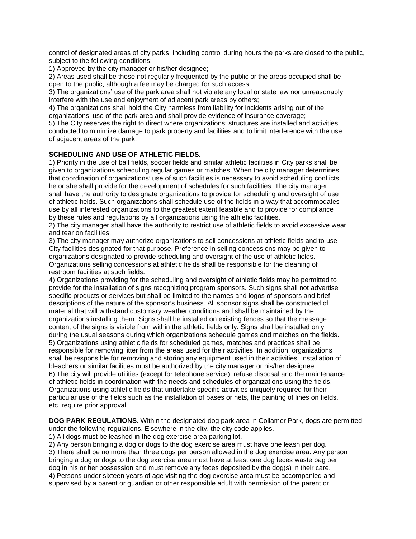control of designated areas of city parks, including control during hours the parks are closed to the public, subject to the following conditions:

1) Approved by the city manager or his/her designee;

2) Areas used shall be those not regularly frequented by the public or the areas occupied shall be open to the public; although a fee may be charged for such access;

3) The organizations' use of the park area shall not violate any local or state law nor unreasonably interfere with the use and enjoyment of adjacent park areas by others;

4) The organizations shall hold the City harmless from liability for incidents arising out of the organizations' use of the park area and shall provide evidence of insurance coverage;

5) The City reserves the right to direct where organizations' structures are installed and activities conducted to minimize damage to park property and facilities and to limit interference with the use of adjacent areas of the park.

## **SCHEDULING AND USE OF ATHLETIC FIELDS.**

1) Priority in the use of ball fields, soccer fields and similar athletic facilities in City parks shall be given to organizations scheduling regular games or matches. When the city manager determines that coordination of organizations' use of such facilities is necessary to avoid scheduling conflicts, he or she shall provide for the development of schedules for such facilities. The city manager shall have the authority to designate organizations to provide for scheduling and oversight of use of athletic fields. Such organizations shall schedule use of the fields in a way that accommodates use by all interested organizations to the greatest extent feasible and to provide for compliance by these rules and regulations by all organizations using the athletic facilities.

2) The city manager shall have the authority to restrict use of athletic fields to avoid excessive wear and tear on facilities.

3) The city manager may authorize organizations to sell concessions at athletic fields and to use City facilities designated for that purpose. Preference in selling concessions may be given to organizations designated to provide scheduling and oversight of the use of athletic fields. Organizations selling concessions at athletic fields shall be responsible for the cleaning of restroom facilities at such fields.

4) Organizations providing for the scheduling and oversight of athletic fields may be permitted to provide for the installation of signs recognizing program sponsors. Such signs shall not advertise specific products or services but shall be limited to the names and logos of sponsors and brief descriptions of the nature of the sponsor's business. All sponsor signs shall be constructed of material that will withstand customary weather conditions and shall be maintained by the organizations installing them. Signs shall be installed on existing fences so that the message content of the signs is visible from within the athletic fields only. Signs shall be installed only during the usual seasons during which organizations schedule games and matches on the fields. 5) Organizations using athletic fields for scheduled games, matches and practices shall be responsible for removing litter from the areas used for their activities. In addition, organizations shall be responsible for removing and storing any equipment used in their activities. Installation of bleachers or similar facilities must be authorized by the city manager or his/her designee. 6) The city will provide utilities (except for telephone service), refuse disposal and the maintenance of athletic fields in coordination with the needs and schedules of organizations using the fields. Organizations using athletic fields that undertake specific activities uniquely required for their

particular use of the fields such as the installation of bases or nets, the painting of lines on fields, etc. require prior approval.

**DOG PARK REGULATIONS.** Within the designated dog park area in Collamer Park, dogs are permitted under the following regulations. Elsewhere in the city, the city code applies.

1) All dogs must be leashed in the dog exercise area parking lot.

2) Any person bringing a dog or dogs to the dog exercise area must have one leash per dog.

3) There shall be no more than three dogs per person allowed in the dog exercise area. Any person bringing a dog or dogs to the dog exercise area must have at least one dog feces waste bag per dog in his or her possession and must remove any feces deposited by the dog(s) in their care.

4) Persons under sixteen years of age visiting the dog exercise area must be accompanied and supervised by a parent or guardian or other responsible adult with permission of the parent or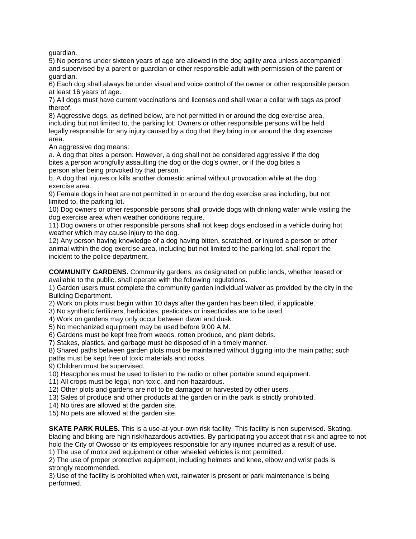guardian.

5) No persons under sixteen years of age are allowed in the dog agility area unless accompanied and supervised by a parent or guardian or other responsible adult with permission of the parent or guardian.

6) Each dog shall always be under visual and voice control of the owner or other responsible person at least 16 years of age.

7) All dogs must have current vaccinations and licenses and shall wear a collar with tags as proof thereof.

8) Aggressive dogs, as defined below, are not permitted in or around the dog exercise area, including but not limited to, the parking lot. Owners or other responsible persons will be held legally responsible for any injury caused by a dog that they bring in or around the dog exercise area.

An aggressive dog means:

a. A dog that bites a person. However, a dog shall not be considered aggressive if the dog bites a person wrongfully assaulting the dog or the dog's owner, or if the dog bites a person after being provoked by that person.

b. A dog that injures or kills another domestic animal without provocation while at the dog exercise area.

9) Female dogs in heat are not permitted in or around the dog exercise area including, but not limited to, the parking lot.

10) Dog owners or other responsible persons shall provide dogs with drinking water while visiting the dog exercise area when weather conditions require.

11) Dog owners or other responsible persons shall not keep dogs enclosed in a vehicle during hot weather which may cause injury to the dog.

12) Any person having knowledge of a dog having bitten, scratched, or injured a person or other animal within the dog exercise area, including but not limited to the parking lot, shall report the incident to the police department.

**COMMUNITY GARDENS.** Community gardens, as designated on public lands, whether leased or available to the public, shall operate with the following regulations.

1) Garden users must complete the community garden individual waiver as provided by the city in the Building Department.

2) Work on plots must begin within 10 days after the garden has been tilled, if applicable.

3) No synthetic fertilizers, herbicides, pesticides or insecticides are to be used.

4) Work on gardens may only occur between dawn and dusk.

5) No mechanized equipment may be used before 9:00 A.M.

6) Gardens must be kept free from weeds, rotten produce, and plant debris.

7) Stakes, plastics, and garbage must be disposed of in a timely manner.

8) Shared paths between garden plots must be maintained without digging into the main paths; such paths must be kept free of toxic materials and rocks.

9) Children must be supervised.

10) Headphones must be used to listen to the radio or other portable sound equipment.

11) All crops must be legal, non-toxic, and non-hazardous.

12) Other plots and gardens are not to be damaged or harvested by other users.

13) Sales of produce and other products at the garden or in the park is strictly prohibited.

14) No tires are allowed at the garden site.

15) No pets are allowed at the garden site.

**SKATE PARK RULES.** This is a use-at-your-own risk facility. This facility is non-supervised. Skating, blading and biking are high risk/hazardous activities. By participating you accept that risk and agree to not hold the City of Owosso or its employees responsible for any injuries incurred as a result of use.

1) The use of motorized equipment or other wheeled vehicles is not permitted.

2) The use of proper protective equipment, including helmets and knee, elbow and wrist pads is strongly recommended.

3) Use of the facility is prohibited when wet, rainwater is present or park maintenance is being performed.